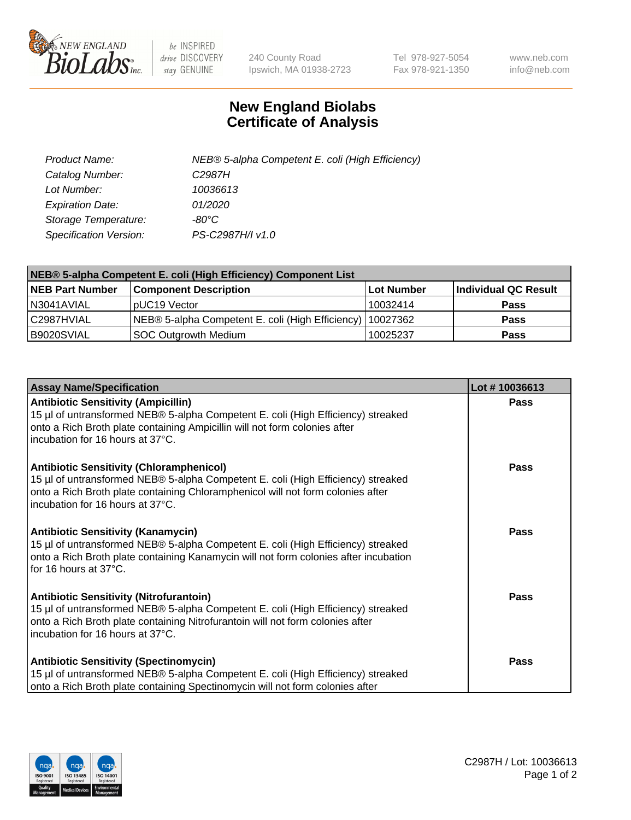

 $be$  INSPIRED drive DISCOVERY stay GENUINE

240 County Road Ipswich, MA 01938-2723 Tel 978-927-5054 Fax 978-921-1350 www.neb.com info@neb.com

## **New England Biolabs Certificate of Analysis**

| Product Name:           | NEB® 5-alpha Competent E. coli (High Efficiency) |
|-------------------------|--------------------------------------------------|
| Catalog Number:         | C <sub>2987</sub> H                              |
| Lot Number:             | 10036613                                         |
| <b>Expiration Date:</b> | <i>01/2020</i>                                   |
| Storage Temperature:    | -80°C                                            |
| Specification Version:  | PS-C2987H/I v1.0                                 |

| NEB® 5-alpha Competent E. coli (High Efficiency) Component List |                                                             |            |                      |  |
|-----------------------------------------------------------------|-------------------------------------------------------------|------------|----------------------|--|
| <b>NEB Part Number</b>                                          | <b>Component Description</b>                                | Lot Number | Individual QC Result |  |
| N3041AVIAL                                                      | pUC19 Vector                                                | 10032414   | Pass                 |  |
| C2987HVIAL                                                      | NEB® 5-alpha Competent E. coli (High Efficiency)   10027362 |            | <b>Pass</b>          |  |
| B9020SVIAL                                                      | <b>SOC Outgrowth Medium</b>                                 | 10025237   | <b>Pass</b>          |  |

| <b>Assay Name/Specification</b>                                                                                                                                                                                                                            | Lot #10036613 |
|------------------------------------------------------------------------------------------------------------------------------------------------------------------------------------------------------------------------------------------------------------|---------------|
| <b>Antibiotic Sensitivity (Ampicillin)</b><br>15 µl of untransformed NEB® 5-alpha Competent E. coli (High Efficiency) streaked<br>onto a Rich Broth plate containing Ampicillin will not form colonies after<br>incubation for 16 hours at 37°C.           | Pass          |
| <b>Antibiotic Sensitivity (Chloramphenicol)</b><br>15 µl of untransformed NEB® 5-alpha Competent E. coli (High Efficiency) streaked<br>onto a Rich Broth plate containing Chloramphenicol will not form colonies after<br>incubation for 16 hours at 37°C. | Pass          |
| Antibiotic Sensitivity (Kanamycin)<br>15 µl of untransformed NEB® 5-alpha Competent E. coli (High Efficiency) streaked<br>onto a Rich Broth plate containing Kanamycin will not form colonies after incubation<br>for 16 hours at 37°C.                    | Pass          |
| <b>Antibiotic Sensitivity (Nitrofurantoin)</b><br>15 µl of untransformed NEB® 5-alpha Competent E. coli (High Efficiency) streaked<br>onto a Rich Broth plate containing Nitrofurantoin will not form colonies after<br>incubation for 16 hours at 37°C.   | <b>Pass</b>   |
| <b>Antibiotic Sensitivity (Spectinomycin)</b><br>15 µl of untransformed NEB® 5-alpha Competent E. coli (High Efficiency) streaked<br>onto a Rich Broth plate containing Spectinomycin will not form colonies after                                         | Pass          |